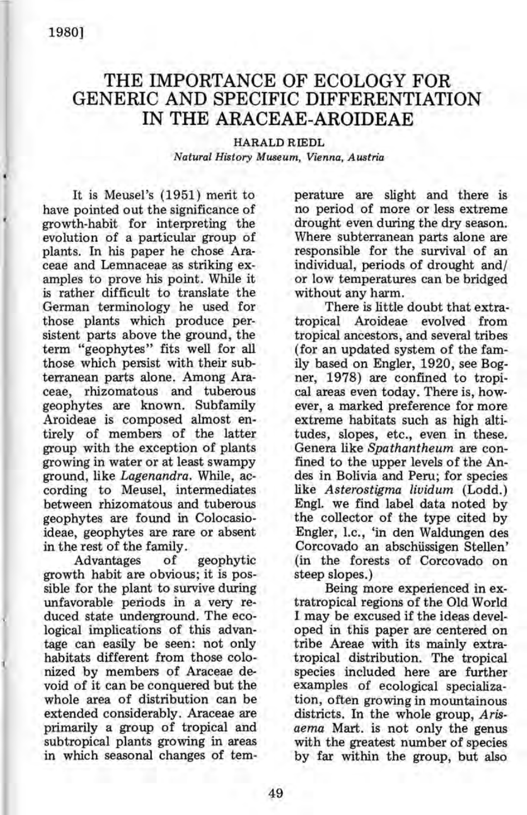# THE IMPORTANCE OF ECOLOGY FOR GENERIC AND SPECIFIC DIFFERENTIATION IN THE ARACEAE-AROIDEAE

## HARALD RIEDL *Natural History Museum, Vienna, Austria*

It is Meusel's (1951) merit to have pointed out the significance of growth-habit for interpreting the evolution of a particular group of plants. In his paper he chose Araceae and Lemnaceae as striking examples to prove his point. While it is rather difficult to translate the German terminology he used for those plants which produce persistent parts above the ground, the term "geophytes" fits well for all those which persist with their subterranean parts alone. Among Araceae, rhizomatous and tuberous geophytes are known. Subfamily Aroideae is composed almost entirely of members of the latter group with the exception of plants growing in water or at least swampy ground, like *Lagenandra.* While, according to Meusel, intermediates between rhizomatous and tuberous geophytes are found in Colocasioideae, geophytes are rare or absent in the rest of the family.

Advantages of geophytic growth habit are obvious; it is possible for the plant to survive during unfavorable periods in a very reduced state underground. The ecological implications of this advantage can easily be seen: not only habitats different from those colonized by members of Araceae devoid of it can be conquered but the whole area of distribution can be extended considerably. Araceae are primarily a group of tropical and subtropical plants growing in areas in which seasonal changes of temperature are slight and there is no period of more or less extreme drought even during the dry season; Where subterranean parts alone are responsible for the survival of an individual, periods of drought and/ or low temperatures can be bridged without any harm.

There is little doubt that extratropical Aroideae evolved from tropical ancestors, and several tribes (for an updated system of the family based on Engler, 1920, see Bogner, 1978) are confined to tropical areas even today. There is, however, a marked preference for more extreme habitats such as high altitudes, slopes, etc., even in these. Genera like *Spathantheum* are confined to the upper levels of the Andes in Bolivia and Peru; for species like *Asterostigma lividum* (Lodd.) Engl. we find label data noted by the collector of the type cited by Engler, I.c., 'in den Waldungen des Corcovado an abschüssigen Stellen' (in the forests of Corcovado on steep slopes.)

Being more experienced in extratropical regions of the Old World I may be excused if the ideas developed in this paper are centered on tribe Areae with its mainly extratropical distribution. The tropical species included here are further examples of ecological specialization, often growing in mountainous districts. In the whole group, *Arisaema* Mart. is not only the genus with the greatest number of species by far within the group, but also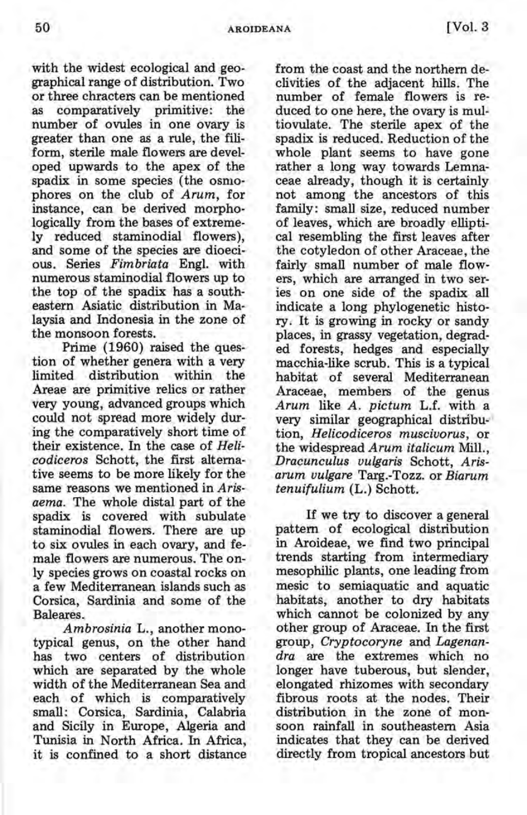with the widest ecological and geographical range of distribution. Two or three chracters can be mentioned as comparatively primitive: the number of ovules in one ovary is greater than one as a rule, the filiform, sterile male flowers are developed upwards to the apex of the spadix in some species (the osmophores on the club of *Arum,* for instance, can be derived morphologically from the bases of extremely reduced staminodial flowers), and some of the species are dioecious. Series *Fimbriata* Engl. with numerous staminodial flowers up to the top of the spadix has a southeastern Asiatic distribution in Malaysia and Indonesia in the zone of the monsoon forests.

Prime (1960) raised the question of whether genera with a very limited distribution within the Areae are primitive relics or rather very young, advanced groups which could not spread more widely during the comparatively short time of their existence. In the case of *Helicodiceros* Schott, the first alternative seems to be more likely for the same reasons we mentioned in *Arisaema.* The whole distal part of the spadix is covered with subulate staminodial flowers. There are up to six ovules in each ovary, and female flowers are numerous. The only species grows on coastal rocks on a few Mediterranean islands such as Corsica, Sardinia and some of the Baleares.

*Ambrosinia* L., another monotypical genus, on the other hand has two centers of distribution which are separated by the whole width of the Mediterranean Sea and each of which is comparatively small: Corsica, Sardinia, Calabria and Sicily in Europe, Algeria and Tunisia in North Africa. In Africa, it is confined to a short distance from the coast and the northern declivities of the adjacent hills. The number of female flowers is reduced to one here, the ovary is multiovulate. The sterile apex of the spadix is reduced. Reduction of the whole plant seems to have gone rather a long way towards Lemnaceae already, though it is certainly not among the ancestors of this family: small size, reduced number of leaves, which are broadly elliptical resembling the first leaves after the cotyledon of other Araceae, the fairly small number of male flowers, which are arranged in two series on one side of the spadix all indicate a long phylogenetic history. It is growing in rocky or sandy places, in grassy vegetation, degraded forests, hedges and especially macchia-like scrub. This is a typical habitat of several Mediterranean Araceae, members of the genus *Arum* like *A. pictum* L.f. with a very similar geographical distribu- ' tion, *Helicodiceros muscivorus,* or the widespread *Arum italicum* Mill., *Dracunculus vulgaris* Schott, *Arisarum vulgare* Targ.-Tozz. or *Biarum tenuifulium* (L.) Schott.

If we try to discover a general pattern of ecological distribution in Aroideae, we find two principal trends starting from intermediary mesophilic plants, one leading from mesic to semiaquatic and aquatic habitats, another to dry habitats which cannot be colonized by any other group of Araceae. In the first group, *Cryptocoryne* and *Lagenandra* are the extremes which no longer have tuberous, but slender, elongated rhizomes with secondary fibrous roots at the nodes. Their distribution in the zone of monsoon rainfall in southeastern Asia indicates that they can be derived directly from tropical ancestors but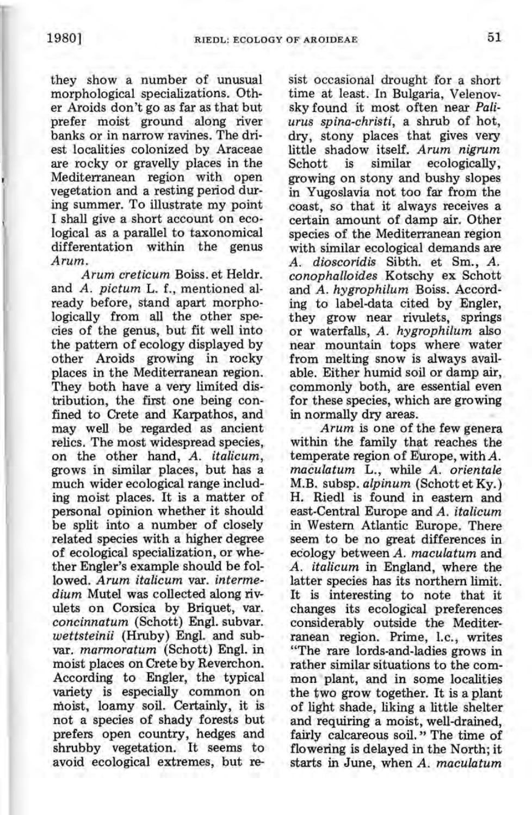they show a number of unusual morphological specializations. Other Aroids don't go as far as that but prefer moist ground along river banks or in narrow ravines. The driest localities colonized by Araceae are rocky or gravelly places in the Mediterranean region with open vegetation and a resting period during summer. To illustrate my point I shall give a short account on ecological as a parallel to taxonomical differentation within the genus *Arum.* 

*Arum creticum* Boiss. et Heldr. and *A. pictum* L. f., mentioned already before, stand apart morphologically from all the other species of the genus, but fit well into the pattern of ecology displayed by other Aroids growing in rocky places in the Mediterranean region. They both have a very limited distribution, the first one being confined to Crete and Karpathos, and may well be regarded as ancient relics. The most widespread species, on the other hand, *A. italicum,*  grows in similar places, but has a much wider ecological range including moist places. It is a matter of personal opinion whether it should be split into a number of closely related species with a higher degree of ecological specialization, or whether Engler's example should be followed. *Arum italicum* var. *intermedium* Mutel was collected along rivulets on Corsica by Briquet, var. *concinnatum* (Schott) Engl. subvar. *wettsteinii* (Hruby) Engl. and subvar. *marmoratum* (Schott) Engl. in moist places on Crete by Reverchon. According to Engler, the typical variety is especially common on moist, loamy soil. Certainly, it is not a species of shady forests but prefers open country, hedges and shrubby vegetation. It seems to avoid ecological extremes, but resist occasional drought for a short time at least. In Bulgaria, Velenovsky found it most often near *Paliurus spina-christi,* a shrub of hot, dry, stony places that gives very little shadow itself. *Arum nigrum*  is similar ecologically, growing on stony and bushy slopes in Yugoslavia not too far from the coast, so that it always receives a certain amount of damp air. Other species of the Mediterranean region with similar ecological demands are *A. dioscoridis* Sibth. et Sm., *A. conophalloides* Kotschy ex Schott and *A. hygrophilum* Boiss. According to label-data cited by Engler, they grow near rivulets, springs or waterfalls, *A. hygrophilum* also near mountain tops where water from melting snow is always available. Either humid soil or damp air, commoniy both, are essential even for these species, which are growing in normally dry areas.

*Arum* is one of the few genera within the family that reaches the temperate region of Europe, with *A. maculatum* L., while *A. orientale*  M.B. subsp. *alpinum* (Schott et Ky.) H. Riedl is found in eastern and east-Central Europe and *A. italicum*  in Western Atlantic Europe. There seem to be no great differences in ecology between *A. maculatum* and *A. italicum* in England, where the latter species has its northern limit. It is interesting to note that it changes its ecological preferences considerably outside the Mediterranean region. Prime, l.c., writes "The rare lords-and-Iadies grows in rather similar situations to the common plant, and in some localities the two grow together. It is a plant of light shade, liking a little shelter and requiring a moist, well-drained, fairly calcareous soil." The time of flowering is delayed in the North; it starts in June, when *A. maculatum*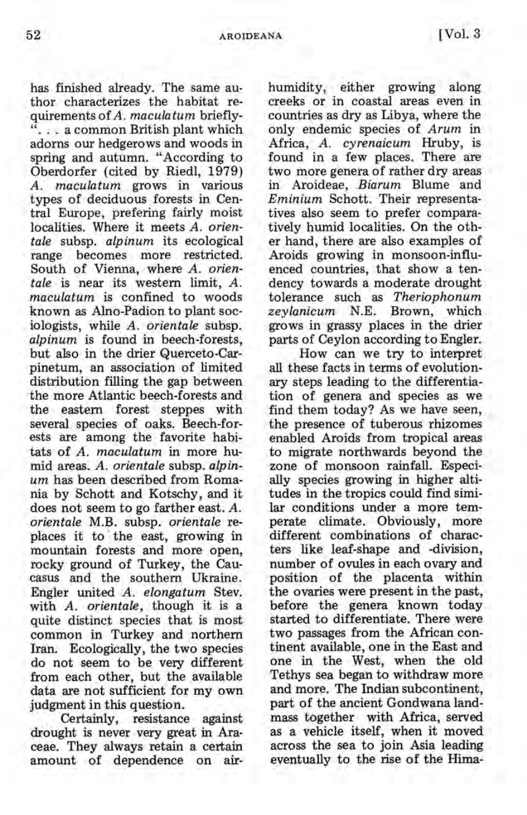has finished already. The same author characterizes the habitat requirements *ofA. maculatum* briefly- ... a common British plant which adorns our hedgerows and woods in spring and autumn. "According to Oberdorfer (cited by Riedl, 1979) *A. maculatum* grows in various types of deciduous forests in Central Europe, prefering fairly moist localities. Where it meets A. orien*tale* subsp. *alpinum* its ecological range becomes more restricted. South of Vienna, where *A. orientale* is near its western limit, *A. maculatum* is confined to woods known as Alno-Padion to plant sociologists, while *A. orientale* subsp. *alpinum* is found in beech-forests, but also in the drier Querceto-Carpinetum, an association of limited distribution filling the gap between the more Atlantic beech-forests and the eastern forest steppes with several species of oaks. Beech-forests are among the favorite habitats of *A. maculatum* in more humid areas. *A. orientale* subsp. *alpinum* has been described from Romania by Schott and Kotschy, and it does not seem to go farther east. A. *orientale* M.B. subsp. *orientale* replaces it to the east, growing in mountain forests and more open, rocky ground of Turkey, the Caucasus and the southern Ukraine. Engler united *A. elongatum* Stev. with *A*. *orientale*, though it is a quite distinct species that is most common in Turkey and northern Iran. Ecologically, the two species do not seem to be very different from each other, but the available data are not sufficient for my own judgment in this question.

Certainly, resistance against drought is never very great in Araceae. They always retain a certain amount of dependence on airhumidity, either growing along creeks or in coastal areas even in countries as dry as Libya, where the only endemic species of *Arum* in Africa, *A. cyrenaicum* Hruby, is found in a few places. There are two more genera of rather dry areas in Aroideae, *Biarum* Blume and *Eminium* Schott. Their representatives also seem to prefer comparatively humid localities. On the other hand, there are also examples of Aroids growing in monsoon-influenced countries, that show a tendency towards a moderate drought tolerance such as *Theriophonum zeylanicum* N.E. Brown, which grows in grassy places in the drier parts of Ceylon according to Engler.

How can we try to interpret all these facts in terms of evolutionary steps leading to the differentiation of genera and species as we find them today? As we have seen, the presence of tuberous rhizomes enabled Aroids from tropical areas to migrate northwards beyond the zone of monsoon rainfall. Especially species growing in higher altitudes in the tropics could find similar conditions under a more temperate climate. Obviously, more different combinations of characters like leaf-shape and -division, number of ovules in each ovary and position of the placenta within the ovaries were present in the past, before the genera known today started to differentiate. There were two passages from the African continent available, one in the East and one in the West, when the old Tethys sea began to withdraw more and more. The Indian subcontinent, part of the ancient Gondwana landmass together with Africa, served as a vehicle itself, when it moved across the sea to join Asia leading eventually to the rise of the Hima-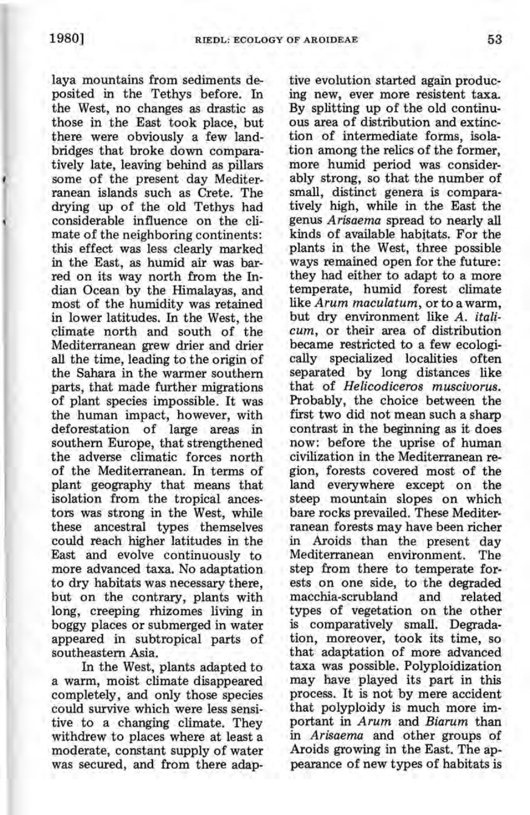laya mountains from sediments deposited in the Tethys before. In the West, no changes as drastic as those in the East took place, but there were obviously a few landbridges that broke down comparatively late, leaving behind as pillars some of the present day Mediterranean islands such as Crete. The drying up of the old Tethys had considerable influence on the climate of the neighboring continents: this effect was less clearly marked in the East, as humid air was barred on its way north from the Indian Ocean by the Himalayas, and most of the humidity was retained in lower latitudes. In the West, the climate north and south of the Mediterranean grew drier and drier all the time, leading to the origin of the Sahara in the warmer southern parts, that made further migrations of plant species impossible. It was the human impact, however, with deforestation of large areas in southern Europe, that strengthened the adverse climatic forces north of the Mediterranean. In terms of plant geography that means that isolation from the tropical ancestors was strong in the West, while these ancestral types themselves could reach higher latitudes in the East and evolve continuously to more advanced taxa. No adaptation to dry habitats was necessary there, but on the contrary, plants with long, creeping rhizomes living in boggy places or submerged in water appeared in subtropical parts of southeastern Asia.

In the West, plants adapted to a warm, moist climate disappeared completely, and only those species could survive which were less sensi- . tive to a changing climate. They withdrew to places where at least a moderate, constant supply of water was secured, and from there adap-

tive evolution started again producing new, ever more resistent taxa. By splitting up of the old continuous area of distribution and extinction of intermediate forms, isolation among the relics of the former, more humid period was considerably strong, so that the number of small, distinct genera is comparatively high, while in the East the genus *Arisaema* spread to nearly all kinds of available habttats. For the plants in the West, three possible ways remained open for the future: they had either to adapt to a more temperate, humid forest climate like *Arum maculatum,* or to a warm, but dry environment like *A. italicum,* or their area of distribution became restricted to a few ecologically specialized localities often separated by long distances like that of *Helicodiceros muscivorus*. Probably, the choice between the first two did not mean such a sharp contrast in the beginning as it does now: before the uprise of human civilization in the Mediterranean region, forests covered most of the land everywhere except on the steep mountain slopes on which bare rocks prevailed. These Mediterranean forests may have been richer in Aroids than the present day Mediterranean environment. The step from there to temperate forests on one side, to the degraded macchia-scrubland and related types of vegetation on the other is comparatively small. Degradation, moreover, took its time, so that' adaptation of more advanced taxa was possible. Polyploidization may have played its part in this process. It is not by mere accident that polyploidy is much more important in *Arum* and *Biarum* than in *Arisaema* and other groups of Aroids growing in the East. The appearance of new types of habitats is